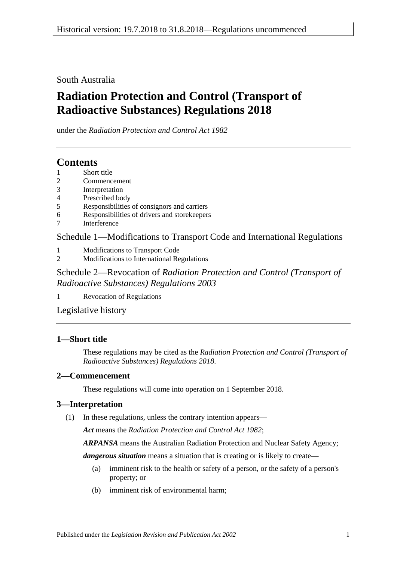South Australia

# **Radiation Protection and Control (Transport of Radioactive Substances) Regulations 2018**

under the *Radiation Protection and Control Act 1982*

## **Contents**

- 1 [Short title](#page-0-0)
- 2 [Commencement](#page-0-1)
- 3 [Interpretation](#page-0-2)
- 4 [Prescribed body](#page-1-0)
- 5 [Responsibilities of consignors and carriers](#page-1-1)
- 6 [Responsibilities of drivers and storekeepers](#page-4-0)
- 7 [Interference](#page-5-0)

Schedule [1—Modifications to Transport Code and International Regulations](#page-5-1)

- 1 [Modifications to Transport Code](#page-5-2)
- 2 [Modifications to International Regulations](#page-6-0)

Schedule 2—Revocation of *[Radiation Protection and Control \(Transport of](#page-6-1)  [Radioactive Substances\) Regulations](#page-6-1) 2003*

1 [Revocation of Regulations](#page-6-2)

[Legislative history](#page-7-0)

### <span id="page-0-0"></span>**1—Short title**

These regulations may be cited as the *Radiation Protection and Control (Transport of Radioactive Substances) Regulations 2018*.

### <span id="page-0-1"></span>**2—Commencement**

These regulations will come into operation on 1 September 2018.

### <span id="page-0-2"></span>**3—Interpretation**

(1) In these regulations, unless the contrary intention appears—

*Act* means the *[Radiation Protection and Control Act](http://www.legislation.sa.gov.au/index.aspx?action=legref&type=act&legtitle=Radiation%20Protection%20and%20Control%20Act%201982) 1982*;

*ARPANSA* means the Australian Radiation Protection and Nuclear Safety Agency;

*dangerous situation* means a situation that is creating or is likely to create—

- (a) imminent risk to the health or safety of a person, or the safety of a person's property; or
- (b) imminent risk of environmental harm;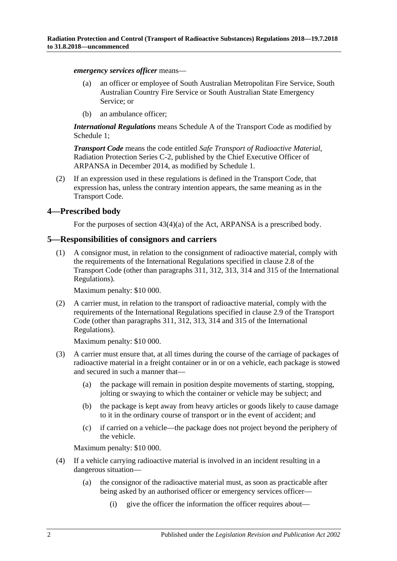*emergency services officer* means—

- (a) an officer or employee of South Australian Metropolitan Fire Service, South Australian Country Fire Service or South Australian State Emergency Service; or
- (b) an ambulance officer;

*International Regulations* means Schedule A of the Transport Code as modified by [Schedule](#page-5-1) 1;

*Transport Code* means the code entitled *Safe Transport of Radioactive Material*, Radiation Protection Series C-2, published by the Chief Executive Officer of ARPANSA in December 2014, as modified by [Schedule](#page-5-1) 1.

(2) If an expression used in these regulations is defined in the Transport Code, that expression has, unless the contrary intention appears, the same meaning as in the Transport Code.

### <span id="page-1-0"></span>**4—Prescribed body**

For the purposes of section 43(4)(a) of the Act, ARPANSA is a prescribed body.

### <span id="page-1-1"></span>**5—Responsibilities of consignors and carriers**

(1) A consignor must, in relation to the consignment of radioactive material, comply with the requirements of the International Regulations specified in clause 2.8 of the Transport Code (other than paragraphs 311, 312, 313, 314 and 315 of the International Regulations).

Maximum penalty: \$10 000.

(2) A carrier must, in relation to the transport of radioactive material, comply with the requirements of the International Regulations specified in clause 2.9 of the Transport Code (other than paragraphs 311, 312, 313, 314 and 315 of the International Regulations).

Maximum penalty: \$10 000.

- (3) A carrier must ensure that, at all times during the course of the carriage of packages of radioactive material in a freight container or in or on a vehicle, each package is stowed and secured in such a manner that—
	- (a) the package will remain in position despite movements of starting, stopping, jolting or swaying to which the container or vehicle may be subject; and
	- (b) the package is kept away from heavy articles or goods likely to cause damage to it in the ordinary course of transport or in the event of accident; and
	- (c) if carried on a vehicle—the package does not project beyond the periphery of the vehicle.

Maximum penalty: \$10 000.

- <span id="page-1-2"></span>(4) If a vehicle carrying radioactive material is involved in an incident resulting in a dangerous situation—
	- (a) the consignor of the radioactive material must, as soon as practicable after being asked by an authorised officer or emergency services officer—
		- (i) give the officer the information the officer requires about—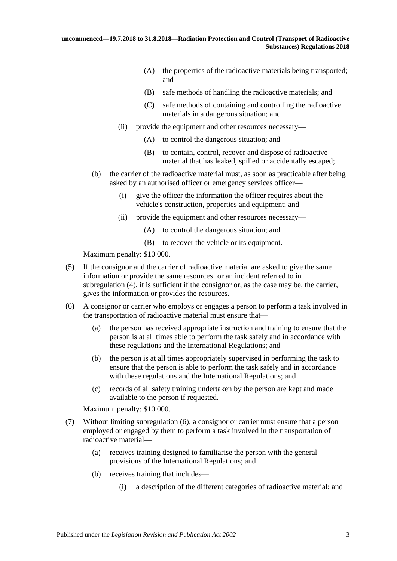- (A) the properties of the radioactive materials being transported; and
- (B) safe methods of handling the radioactive materials; and
- (C) safe methods of containing and controlling the radioactive materials in a dangerous situation; and
- (ii) provide the equipment and other resources necessary—
	- (A) to control the dangerous situation; and
	- (B) to contain, control, recover and dispose of radioactive material that has leaked, spilled or accidentally escaped;
- (b) the carrier of the radioactive material must, as soon as practicable after being asked by an authorised officer or emergency services officer—
	- (i) give the officer the information the officer requires about the vehicle's construction, properties and equipment; and
	- (ii) provide the equipment and other resources necessary—
		- (A) to control the dangerous situation; and
		- (B) to recover the vehicle or its equipment.

Maximum penalty: \$10 000.

- (5) If the consignor and the carrier of radioactive material are asked to give the same information or provide the same resources for an incident referred to in [subregulation](#page-1-2) (4), it is sufficient if the consignor or, as the case may be, the carrier, gives the information or provides the resources.
- <span id="page-2-0"></span>(6) A consignor or carrier who employs or engages a person to perform a task involved in the transportation of radioactive material must ensure that—
	- (a) the person has received appropriate instruction and training to ensure that the person is at all times able to perform the task safely and in accordance with these regulations and the International Regulations; and
	- (b) the person is at all times appropriately supervised in performing the task to ensure that the person is able to perform the task safely and in accordance with these regulations and the International Regulations; and
	- (c) records of all safety training undertaken by the person are kept and made available to the person if requested.

Maximum penalty: \$10 000.

- <span id="page-2-1"></span>(7) Without limiting [subregulation](#page-2-0) (6), a consignor or carrier must ensure that a person employed or engaged by them to perform a task involved in the transportation of radioactive material—
	- (a) receives training designed to familiarise the person with the general provisions of the International Regulations; and
	- (b) receives training that includes—
		- (i) a description of the different categories of radioactive material; and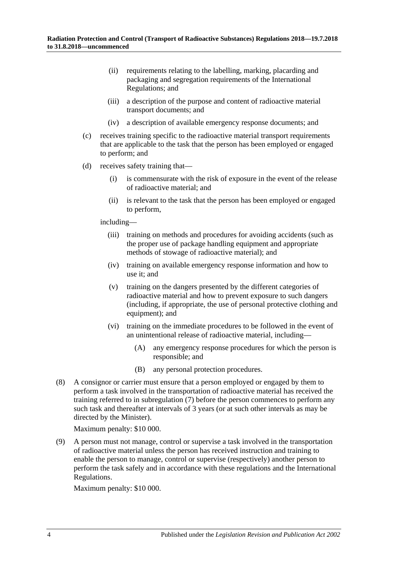- (ii) requirements relating to the labelling, marking, placarding and packaging and segregation requirements of the International Regulations; and
- (iii) a description of the purpose and content of radioactive material transport documents; and
- (iv) a description of available emergency response documents; and
- (c) receives training specific to the radioactive material transport requirements that are applicable to the task that the person has been employed or engaged to perform; and
- (d) receives safety training that—
	- (i) is commensurate with the risk of exposure in the event of the release of radioactive material; and
	- (ii) is relevant to the task that the person has been employed or engaged to perform,

including—

- (iii) training on methods and procedures for avoiding accidents (such as the proper use of package handling equipment and appropriate methods of stowage of radioactive material); and
- (iv) training on available emergency response information and how to use it; and
- (v) training on the dangers presented by the different categories of radioactive material and how to prevent exposure to such dangers (including, if appropriate, the use of personal protective clothing and equipment); and
- (vi) training on the immediate procedures to be followed in the event of an unintentional release of radioactive material, including—
	- (A) any emergency response procedures for which the person is responsible; and
	- (B) any personal protection procedures.
- (8) A consignor or carrier must ensure that a person employed or engaged by them to perform a task involved in the transportation of radioactive material has received the training referred to in [subregulation](#page-2-1) (7) before the person commences to perform any such task and thereafter at intervals of 3 years (or at such other intervals as may be directed by the Minister).

Maximum penalty: \$10 000.

(9) A person must not manage, control or supervise a task involved in the transportation of radioactive material unless the person has received instruction and training to enable the person to manage, control or supervise (respectively) another person to perform the task safely and in accordance with these regulations and the International Regulations.

Maximum penalty: \$10 000.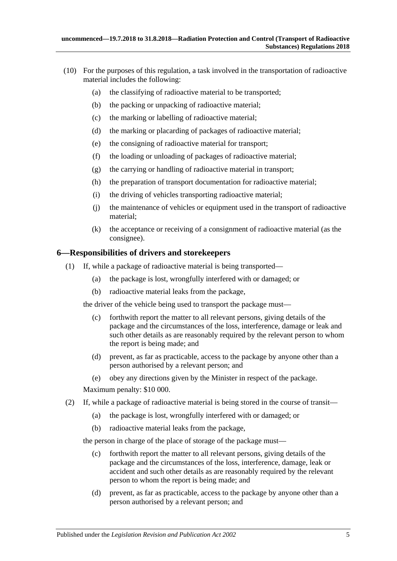- (10) For the purposes of this regulation, a task involved in the transportation of radioactive material includes the following:
	- (a) the classifying of radioactive material to be transported;
	- (b) the packing or unpacking of radioactive material;
	- (c) the marking or labelling of radioactive material;
	- (d) the marking or placarding of packages of radioactive material;
	- (e) the consigning of radioactive material for transport;
	- (f) the loading or unloading of packages of radioactive material;
	- (g) the carrying or handling of radioactive material in transport;
	- (h) the preparation of transport documentation for radioactive material;
	- (i) the driving of vehicles transporting radioactive material;
	- (j) the maintenance of vehicles or equipment used in the transport of radioactive material;
	- (k) the acceptance or receiving of a consignment of radioactive material (as the consignee).

### <span id="page-4-0"></span>**6—Responsibilities of drivers and storekeepers**

- (1) If, while a package of radioactive material is being transported—
	- (a) the package is lost, wrongfully interfered with or damaged; or
	- (b) radioactive material leaks from the package,

<span id="page-4-1"></span>the driver of the vehicle being used to transport the package must—

- (c) forthwith report the matter to all relevant persons, giving details of the package and the circumstances of the loss, interference, damage or leak and such other details as are reasonably required by the relevant person to whom the report is being made; and
- (d) prevent, as far as practicable, access to the package by anyone other than a person authorised by a relevant person; and
- (e) obey any directions given by the Minister in respect of the package.

Maximum penalty: \$10 000.

- (2) If, while a package of radioactive material is being stored in the course of transit—
	- (a) the package is lost, wrongfully interfered with or damaged; or
	- (b) radioactive material leaks from the package,

<span id="page-4-2"></span>the person in charge of the place of storage of the package must—

- (c) forthwith report the matter to all relevant persons, giving details of the package and the circumstances of the loss, interference, damage, leak or accident and such other details as are reasonably required by the relevant person to whom the report is being made; and
- (d) prevent, as far as practicable, access to the package by anyone other than a person authorised by a relevant person; and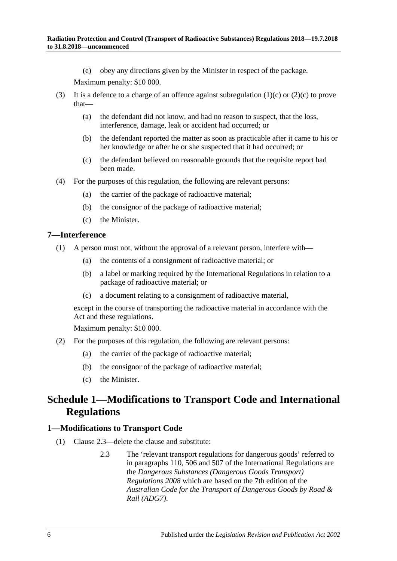(e) obey any directions given by the Minister in respect of the package.

Maximum penalty: \$10 000.

- (3) It is a defence to a charge of an offence against [subregulation](#page-4-1)  $(1)(c)$  or  $(2)(c)$  to prove that—
	- (a) the defendant did not know, and had no reason to suspect, that the loss, interference, damage, leak or accident had occurred; or
	- (b) the defendant reported the matter as soon as practicable after it came to his or her knowledge or after he or she suspected that it had occurred; or
	- (c) the defendant believed on reasonable grounds that the requisite report had been made.
- (4) For the purposes of this regulation, the following are relevant persons:
	- (a) the carrier of the package of radioactive material;
	- (b) the consignor of the package of radioactive material;
	- (c) the Minister.

#### <span id="page-5-0"></span>**7—Interference**

- (1) A person must not, without the approval of a relevant person, interfere with—
	- (a) the contents of a consignment of radioactive material; or
	- (b) a label or marking required by the International Regulations in relation to a package of radioactive material; or
	- (c) a document relating to a consignment of radioactive material,

except in the course of transporting the radioactive material in accordance with the Act and these regulations.

Maximum penalty: \$10 000.

- (2) For the purposes of this regulation, the following are relevant persons:
	- (a) the carrier of the package of radioactive material;
	- (b) the consignor of the package of radioactive material;
	- (c) the Minister.

# <span id="page-5-1"></span>**Schedule 1—Modifications to Transport Code and International Regulations**

#### <span id="page-5-2"></span>**1—Modifications to Transport Code**

- (1) Clause 2.3—delete the clause and substitute:
	- 2.3 The 'relevant transport regulations for dangerous goods' referred to in paragraphs 110, 506 and 507 of the International Regulations are the *[Dangerous Substances \(Dangerous Goods Transport\)](http://www.legislation.sa.gov.au/index.aspx?action=legref&type=subordleg&legtitle=Dangerous%20Substances%20(Dangerous%20Goods%20Transport)%20Regulations%202008)  [Regulations](http://www.legislation.sa.gov.au/index.aspx?action=legref&type=subordleg&legtitle=Dangerous%20Substances%20(Dangerous%20Goods%20Transport)%20Regulations%202008) 2008* which are based on the 7th edition of the *Australian Code for the Transport of Dangerous Goods by Road & Rail (ADG7)*.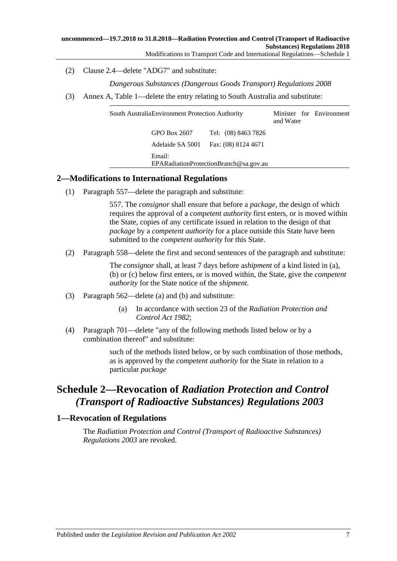Modifications to Transport Code and International Regulations—Schedule 1

(2) Clause 2.4—delete "ADG7" and substitute:

*[Dangerous Substances \(Dangerous Goods Transport\)](http://www.legislation.sa.gov.au/index.aspx?action=legref&type=subordleg&legtitle=Dangerous%20Substances%20(Dangerous%20Goods%20Transport)%20Regulations%202008) Regulations 2008*

(3) Annex A, Table 1—delete the entry relating to South Australia and substitute:

| South AustraliaEnvironment Protection Authority |                                  |                                            | and Water | Minister for Environment |
|-------------------------------------------------|----------------------------------|--------------------------------------------|-----------|--------------------------|
|                                                 | GPO Box 2607<br>Adelaide SA 5001 | Tel: (08) 8463 7826<br>Fax: (08) 8124 4671 |           |                          |
|                                                 | Email:                           | EPARadiationProtectionBranch@sa.gov.au     |           |                          |

### <span id="page-6-0"></span>**2—Modifications to International Regulations**

(1) Paragraph 557—delete the paragraph and substitute:

557. The *consignor* shall ensure that before a *package*, the design of which requires the approval of a *competent authority* first enters, or is moved within the State, copies of any certificate issued in relation to the design of that *package* by a *competent authority* for a place outside this State have been submitted to the *competent authority* for this State.

(2) Paragraph 558—delete the first and second sentences of the paragraph and substitute:

The *consignor* shall, at least 7 days before a*shipment* of a kind listed in (a), (b) or (c) below first enters, or is moved within, the State, give the *competent authority* for the State notice of the *shipment*.

- (3) Paragraph 562—delete (a) and (b) and substitute:
	- (a) In accordance with section 23 of the *[Radiation Protection and](http://www.legislation.sa.gov.au/index.aspx?action=legref&type=act&legtitle=Radiation%20Protection%20and%20Control%20Act%201982)  [Control Act 1982](http://www.legislation.sa.gov.au/index.aspx?action=legref&type=act&legtitle=Radiation%20Protection%20and%20Control%20Act%201982)*;
- (4) Paragraph 701—delete "any of the following methods listed below or by a combination thereof" and substitute:

such of the methods listed below, or by such combination of those methods, as is approved by the *competent authority* for the State in relation to a particular *package*

# <span id="page-6-1"></span>**Schedule 2—Revocation of** *Radiation Protection and Control (Transport of Radioactive Substances) Regulations 2003*

### <span id="page-6-2"></span>**1—Revocation of Regulations**

The *[Radiation Protection and Control \(Transport of Radioactive Substances\)](http://www.legislation.sa.gov.au/index.aspx?action=legref&type=subordleg&legtitle=Radiation%20Protection%20and%20Control%20(Transport%20of%20Radioactive%20Substances)%20Regulations%202003)  [Regulations](http://www.legislation.sa.gov.au/index.aspx?action=legref&type=subordleg&legtitle=Radiation%20Protection%20and%20Control%20(Transport%20of%20Radioactive%20Substances)%20Regulations%202003) 2003* are revoked.